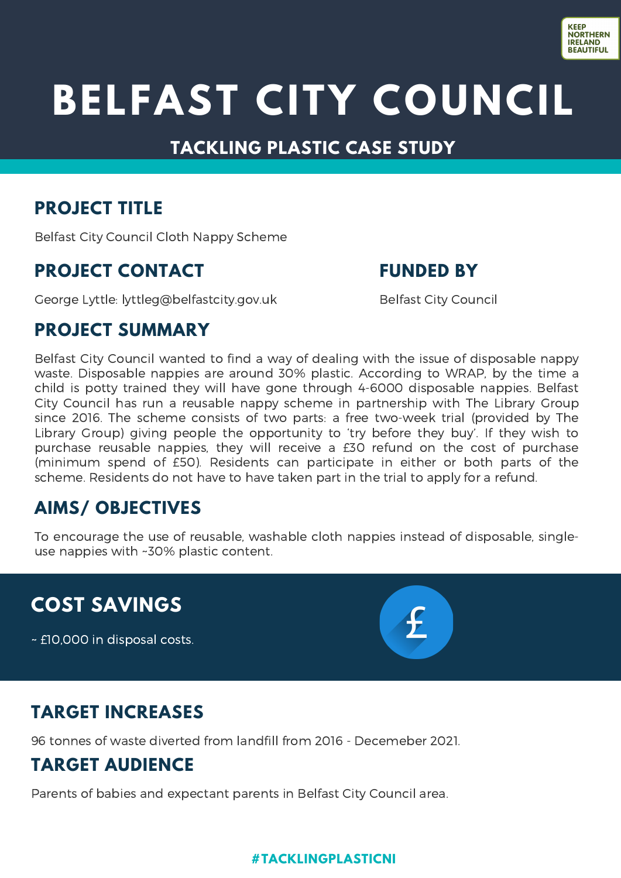

## **BELFAST CITY COUNCIL**

#### **TACKLING PLASTIC CASE STUDY**

#### **PROJECT TITLE**

Belfast City Council Cloth Nappy Scheme

#### **PROJECT CONTACT**

George Lyttle: [lyttleg@belfastcity.gov.uk](mailto:waste.education@lisburncastlereagh.gov.uk)

**FUNDED BY**

Belfast City Council

#### **PROJECT SUMMARY**

Belfast City Council wanted to find a way of dealing with the issue of disposable nappy waste. Disposable nappies are around 30% plastic. According to WRAP, by the time a child is potty trained they will have gone through 4-6000 disposable nappies. Belfast City Council has run a reusable nappy scheme in partnership with The Library Group since 2016. The scheme consists of two parts: a free two-week trial (provided by The Library Group) giving people the opportunity to 'try before they buy'. If they wish to purchase reusable nappies, they will receive a £30 refund on the cost of purchase (minimum spend of £50). Residents can participate in either or both parts of the scheme. Residents do not have to have taken part in the trial to apply for a refund.

## **AIMS/ OBJECTIVES**

To encourage the use of reusable, washable cloth nappies instead of disposable, singleuse nappies with ~30% plastic content.

## **COST SAVINGS**

~ £10,000 in disposal costs.



## **TARGET INCREASES**

96 tonnes of waste diverted from landfill from 2016 - Decemeber 2021.

## **TARGET AUDIENCE**

Parents of babies and expectant parents in Belfast City Council area.

#### **#TACKLINGPLASTICNI**